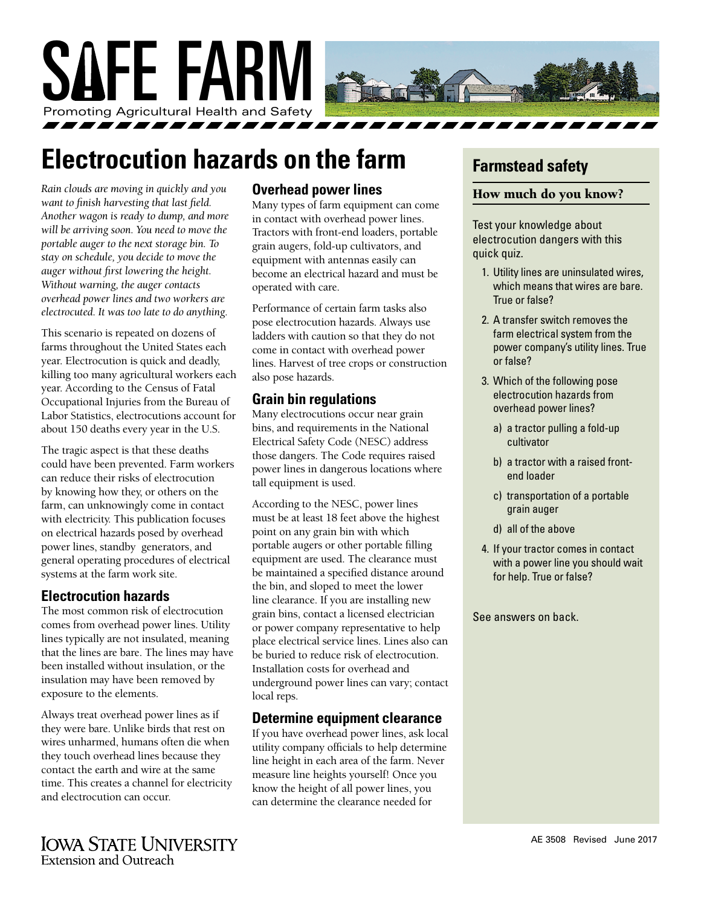

# **Electrocution hazards on the farm**

*Rain clouds are moving in quickly and you want to finish harvesting that last field. Another wagon is ready to dump, and more will be arriving soon. You need to move the portable auger to the next storage bin. To stay on schedule, you decide to move the auger without first lowering the height. Without warning, the auger contacts overhead power lines and two workers are electrocuted. It was too late to do anything.*

This scenario is repeated on dozens of farms throughout the United States each year. Electrocution is quick and deadly, killing too many agricultural workers each year. According to the Census of Fatal Occupational Injuries from the Bureau of Labor Statistics, electrocutions account for about 150 deaths every year in the U.S.

The tragic aspect is that these deaths could have been prevented. Farm workers can reduce their risks of electrocution by knowing how they, or others on the farm, can unknowingly come in contact with electricity. This publication focuses on electrical hazards posed by overhead power lines, standby generators, and general operating procedures of electrical systems at the farm work site.

#### **Electrocution hazards**

The most common risk of electrocution comes from overhead power lines. Utility lines typically are not insulated, meaning that the lines are bare. The lines may have been installed without insulation, or the insulation may have been removed by exposure to the elements.

Always treat overhead power lines as if they were bare. Unlike birds that rest on wires unharmed, humans often die when they touch overhead lines because they contact the earth and wire at the same time. This creates a channel for electricity and electrocution can occur.

#### **Overhead power lines**

Many types of farm equipment can come in contact with overhead power lines. Tractors with front-end loaders, portable grain augers, fold-up cultivators, and equipment with antennas easily can become an electrical hazard and must be operated with care.

Performance of certain farm tasks also pose electrocution hazards. Always use ladders with caution so that they do not come in contact with overhead power lines. Harvest of tree crops or construction also pose hazards.

### **Grain bin regulations**

Many electrocutions occur near grain bins, and requirements in the National Electrical Safety Code (NESC) address those dangers. The Code requires raised power lines in dangerous locations where tall equipment is used.

According to the NESC, power lines must be at least 18 feet above the highest point on any grain bin with which portable augers or other portable filling equipment are used. The clearance must be maintained a specified distance around the bin, and sloped to meet the lower line clearance. If you are installing new grain bins, contact a licensed electrician or power company representative to help place electrical service lines. Lines also can be buried to reduce risk of electrocution. Installation costs for overhead and underground power lines can vary; contact local reps.

#### **Determine equipment clearance**

If you have overhead power lines, ask local utility company officials to help determine line height in each area of the farm. Never measure line heights yourself! Once you know the height of all power lines, you can determine the clearance needed for

# **Farmstead safety**

#### How much do you know?

Test your knowledge about electrocution dangers with this quick quiz.

- 1. Utility lines are uninsulated wires, which means that wires are bare. True or false?
- 2. A transfer switch removes the farm electrical system from the power company's utility lines. True or false?
- 3. Which of the following pose electrocution hazards from overhead power lines?
	- a) a tractor pulling a fold-up cultivator
	- b) a tractor with a raised frontend loader
	- c) transportation of a portable grain auger
	- d) all of the above
- 4. If your tractor comes in contact with a power line you should wait for help. True or false?

See answers on back.